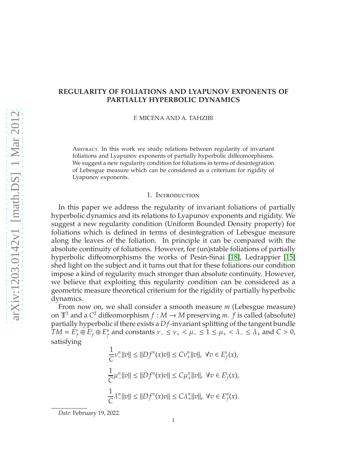# **REGULARITY OF FOLIATIONS AND LYAPUNOV EXPONENTS OF PARTIALLY HYPERBOLIC DYNAMICS**

F. MICENA AND A. TAHZIBI

Abstract. In this work we study relations between regularity of invariant foliations and Lyapunov exponents of partially hyperbolic diffeomorphisms. We suggest a new regularity condition for foliations in terms of desintegration of Lebesgue measure which can be considered as a criterium for rigidity of Lyapunov exponents.

#### 1. INTRODUCTION

In this paper we address the regularity of invariant foliations of partially hyperbolic dynamics and its relations to Lyapunov exponents and rigidity. We suggest a new regularity condition (Uniform Bounded Density property) for foliations which is defined in terms of desintegration of Lebesgue measure along the leaves of the foliation. In principle it can be compared with the absolute continuity of foliations. However, for (un)stable foliations of partially hyperbolic diffeomorphisms the works of Pesin-Sinai [\[18\]](#page-21-0), Ledrappier [\[15\]](#page-21-1) shed light on the subject and it turns out that for these foliations our condition impose a kind of regularity much stronger than absolute continuity. However, we believe that exploiting this regularity condition can be considered as a geometric measure theoretical criterium for the rigidity of partially hyperbolic dynamics.

From now on, we shall consider a smooth measure *m* (Lebesgue measure) on  $\mathbb{T}^3$  and a  $C^2$  diffeomorphism  $f : M \to M$  preserving *m*.  $f$  is called (absolute) partially hyperbolic if there exists a *D f*-invariant splitting of the tangent bundle  $TM = \check{E}^s$  $\theta_f^s$  ⊕  $E_f^c$  $\sigma$ <sup>r</sup></sub> ⊕  $E_f^u$ *f* and constants  $\nu$ <sub>−</sub> ≤  $\nu$ <sub>+</sub> <  $\mu$ <sub>−</sub> ≤ 1 ≤  $\mu$ <sub>+</sub> <  $\lambda$ <sub>−</sub> ≤  $\lambda$ <sub>+</sub> and *C* > 0, satisfying

$$
\frac{1}{C}v_{-}^{n}||v|| \le ||Df^{n}(x)v|| \le Cv_{+}^{n}||v||, \ \forall v \in E_{f}^{s}(x),
$$
\n
$$
\frac{1}{C}\mu_{-}^{n}||v|| \le ||Df^{n}(x)v|| \le C\mu_{+}^{n}||v||, \ \forall v \in E_{f}^{c}(x),
$$
\n
$$
\frac{1}{C}\lambda_{-}^{n}||v|| \le ||Df^{n}(x)v|| \le C\lambda_{+}^{n}||v||, \ \forall v \in E_{f}^{u}(x).
$$

*Date*: February 19, 2022.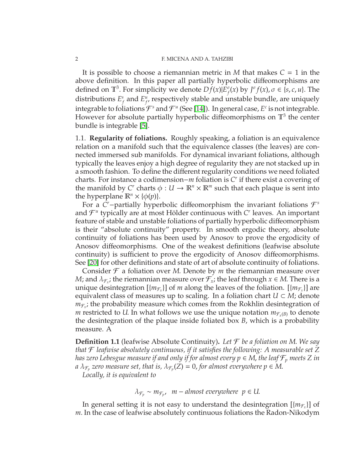It is possible to choose a riemannian metric in *M* that makes  $C = 1$  in the above definition. In this paper all partially hyperbolic diffeomorphisms are defined on  $\mathbb{T}^3$ . For simplicity we denote  $Df(x)|\tilde{E}_f^{\sigma}$  $f_f^{\sigma}(x)$  by  $J^{\sigma}f(x), \sigma \in \{s, c, u\}.$  The distributions *E s*  $\int_f^{\delta}$  and  $E_f^u$ *f* , respectively stable and unstable bundle, are uniquely integrable to foliations  $\mathcal{F}^s$  and  $\mathcal{F}^u$  (See [\[14\]](#page-21-2)). In general case,  $E^c$  is not integrable. However for absolute partially hyperbolic diffeomorphisms on  $\mathbb{T}^3$  the center bundle is integrable [\[5\]](#page-20-0).

1.1. **Regularity of foliations.** Roughly speaking, a foliation is an equivalence relation on a manifold such that the equivalence classes (the leaves) are connected immersed sub manifolds. For dynamical invariant foliations, although typically the leaves enjoy a high degree of regularity they are not stacked up in a smooth fashion. To define the different regularity conditions we need foliated charts. For instance a codimension−*m* foliation is *C r* if there exist a covering of the manifold by  $C^r$  charts  $\phi: U \to \mathbb{R}^n \times \mathbb{R}^m$  such that each plaque is sent into the hyperplane  $\mathbb{R}^n \times {\phi(p)}$ .

For a *C <sup>r</sup>*−partially hyperbolic diffeomorphism the invariant foliations F *s* and  $\mathcal{F}^u$  typically are at most Hölder continuous with  $C^r$  leaves. An important feature of stable and unstable foliations of partially hyperbolic diffeomorphism is their "absolute continuity" property. In smooth ergodic theory, absolute continuity of foliations has been used by Anosov to prove the ergodicity of Anosov diffeomorphisms. One of the weakest definitions (leafwise absolute continuity) is sufficient to prove the ergodicity of Anosov diffeomorphisms. See [\[20\]](#page-21-3) for other definitions and state of art of absolute continuity of foliations.

Consider  $\mathcal F$  a foliation over *M*. Denote by *m* the riemannian measure over *M*; and  $\lambda_{\mathcal{F}_x}$ ; the riemannian measure over  $\mathcal{F}_x$ ; the leaf through  $x \in M$ . There is a unique desintegration  $[\{m_{\mathcal{F}_x}\}]$  of *m* along the leaves of the foliation.  $[\{m_{\mathcal{F}_x}\}]$  are equivalent class of measures up to scaling. In a foliation chart  $U \subset M$ ; denote  $m_{\mathcal{F}_x}$ ; the probability measure which comes from the Rokhlin desintegration of *m* restricted to *U*. In what follows we use the unique notation  $m_{\mathcal{F}_x(B)}$  to denote the desintegration of the plaque inside foliated box *B*, which is a probability measure. A

**Definition 1.1** (leafwise Absolute Continuity). Let  $\mathcal F$  be a foliation on M. We say *that* F *leafwise absolutely continuous, if it satisfies the following: A measurable set Z has zero Lebesgue measure if and only if for almost every p* ∈ *M*, *the leaf* F*<sup>p</sup> meets Z in a*  $\lambda_{{\mathcal F}_p}$  zero measure set, that is,  $\lambda_{{\mathcal F}_p}(\vec{Z}) = 0$ , for almost everywhere  $p \in M$ .

*Locally, it is equivalent to*

 $\lambda_{\mathcal{F}_p}$  ∼  $m_{\mathcal{F}_p}$ ,  $m$  − almost everywhere  $p \in U$ .

In general setting it is not easy to understand the desintegration  $[\{m_{\mathcal{F}_x}\}]$  of *m*. In the case of leafwise absolutely continuous foliations the Radon-Nikodym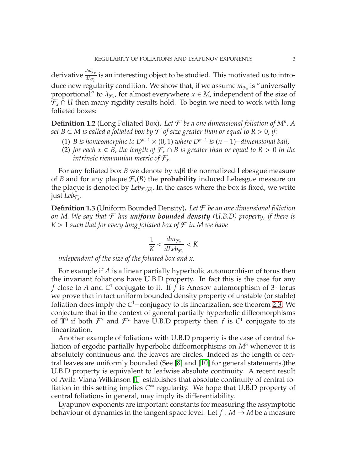derivative  $\frac{dm_{\mathcal{F}_p}}{d\lambda_{\mathcal{F}_p}}$  is an interesting object to be studied. This motivated us to introduce new regularity condition. We show that, if we assume  $m_{\mathcal{F}_x}$  is "universally proportional" to  $\lambda_{\mathcal{F}_x}$ , for almost everywhere  $x \in M$ , independent of the size of F*<sup>x</sup>* ∩ *U* then many rigidity results hold. To begin we need to work with long foliated boxes:

**Definition 1.2** (Long Foliated Box)**.** *Let* F *be a one dimensional foliation of M<sup>n</sup>* . *A set B* ⊂ *M is called a foliated box by*  $\mathcal F$  *of size greater than or equal to*  $R > 0$ , *if:* 

- (1) *B* is homeomorphic to  $D^{n-1} \times (0, 1)$  where  $D^{n-1}$  is  $(n-1)$ -dimensional ball;
- (2) *for each*  $x \in B$ , *the length of*  $\mathcal{F}_x \cap B$  *is greater than or equal to*  $R > 0$  *in the intrinsic riemannian metric of*  $\mathcal{F}_x$ .

For any foliated box *B* we denote by *m*|*B* the normalized Lebesgue measure of *B* and for any plaque  $\mathcal{F}_x(B)$  the **probability** induced Lebesgue measure on the plaque is denoted by  $Leb_{\mathcal{F}_x(B)}$ . In the cases where the box is fixed, we write just *Leb*<sup>F</sup>*<sup>x</sup>* .

<span id="page-2-0"></span>**Definition 1.3** (Uniform Bounded Density)**.** *Let* F *be an one dimensional foliation on M*. *We say that* F *has uniform bounded density (U.B.D) property, if there is*  $K > 1$  *such that for every long foliated box of*  $\mathcal{F}$  *in* M we have

$$
\frac{1}{K} < \frac{dm_{\mathcal{F}_x}}{dLeb_{\mathcal{F}_x}} < K
$$

*independent of the size of the foliated box and x.*

For example if *A* is a linear partially hyperbolic automorphism of torus then the invariant foliations have U.B.D property. In fact this is the case for any *f* close to *A* and  $C^1$  conjugate to it. If *f* is Anosov automorphism of 3- torus we prove that in fact uniform bounded density property of unstable (or stable) foliation does imply the *C* <sup>1</sup>−conjugacy to its linearization, see theorem [2.3.](#page-4-0) We conjecture that in the context of general partially hyperbolic diffeomorphisms of  $\mathbb{T}^3$  if both  $\mathcal{F}^s$  and  $\mathcal{F}^u$  have U.B.D property then f is  $C^1$  conjugate to its linearization.

Another example of foliations with U.B.D property is the case of central foliation of ergodic partially hyperbolic diffeomorphisms on *M*<sup>3</sup> whenever it is absolutely continuous and the leaves are circles. Indeed as the length of central leaves are uniformly bounded (See [\[8\]](#page-21-4) and [\[10\]](#page-21-5) for general statements.)the U.B.D property is equivalent to leafwise absolute continuity. A recent result of Avila-Viana-Wilkinson [\[1\]](#page-20-1) establishes that absolute continuity of central foliation in this setting implies *C* <sup>∞</sup> regularity. We hope that U.B.D property of central foliations in general, may imply its differentiability.

Lyapunov exponents are important constants for measuring the assymptotic behaviour of dynamics in the tangent space level. Let  $f : M \to M$  be a measure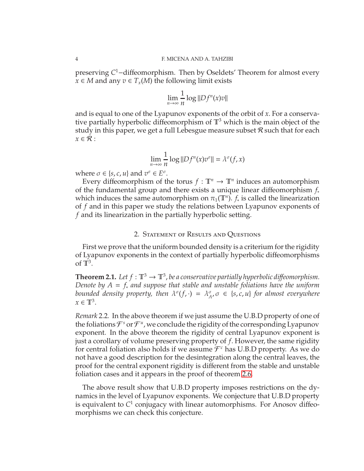preserving *C*<sup>1</sup>-diffeomorphism. Then by Oseldets' Theorem for almost every *x* ∈ *M* and any  $v \in T_x(M)$  the following limit exists

$$
\lim_{n\to\infty}\frac{1}{n}\log\|Df^n(x)v\|
$$

and is equal to one of the Lyapunov exponents of the orbit of *x*. For a conservative partially hyperbolic diffeomorphism of  $\mathbb{T}^3$  which is the main object of the study in this paper, we get a full Lebesgue measure subset  $R$  such that for each  $x \in \mathcal{R}$ :

$$
\lim_{n \to \infty} \frac{1}{n} \log ||Df^{n}(x)v^{\sigma}|| = \lambda^{\sigma}(f, x)
$$

where  $\sigma \in \{s, c, u\}$  and  $v^{\sigma} \in E^{\sigma}$ .

Every diffeomorphism of the torus  $f: \mathbb{T}^n \to \mathbb{T}^n$  induces an automorphism of the fundamental group and there exists a unique linear diffeomorphism *f*<sup>∗</sup> which induces the same automorphism on  $\pi_1(\mathbb{T}^n)$ .  $f_*$  is called the linearization of *f* and in this paper we study the relations between Lyapunov exponents of *f* and its linearization in the partially hyperbolic setting.

### 2. Statement of Results and Questions

First we prove that the uniform bounded density is a criterium for the rigidity of Lyapunov exponents in the context of partially hyperbolic diffeomorphisms of  $\mathbb{T}^3$ .

<span id="page-3-0"></span>**Theorem 2.1.** Let  $f : \mathbb{T}^3 \to \mathbb{T}^3$ , be a conservative partially hyperbolic diffeomorphism. *Denote by A* = *f*<sup>∗</sup> *and suppose that stable and unstable foliations have the uniform* bounded density property, then  $\lambda^{\sigma}(f, \cdot) = \lambda^{\sigma}_{A}$ *A* , σ ∈ {*s*, *c*, *u*} *for almost everywhere*  $x \in \mathbb{T}^3$ .

*Remark* 2.2*.* In the above theorem if we just assume the U.B.D property of one of the foliations  $\mathcal{F}^s$  or  $\mathcal{F}^u$ , we conclude the rigidity of the corresponding Lyapunov exponent. In the above theorem the rigidity of central Lyapunov exponent is just a corollary of volume preserving property of *f*. However, the same rigidity for central foliation also holds if we assume  $\mathcal{F}^c$  has U.B.D property. As we do not have a good description for the desintegration along the central leaves, the proof for the central exponent rigidity is different from the stable and unstable foliation cases and it appears in the proof of theorem [2.6.](#page-5-0)

The above result show that U.B.D property imposes restrictions on the dynamics in the level of Lyapunov exponents. We conjecture that U.B.D property is equivalent to C<sup>1</sup> conjugacy with linear automorphisms. For Anosov diffeomorphisms we can check this conjecture.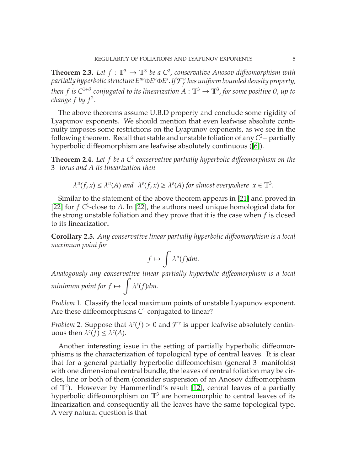<span id="page-4-0"></span>**Theorem 2.3.** Let  $f : \mathbb{T}^3 \to \mathbb{T}^3$  be a  $C^2$ , conservative Anosov diffeomorphism with partially hyperbolic structure  $E^{uu} \oplus E^u \oplus E^s$  . If  ${\mathcal F}^u_f$ *f has uniform bounded density property, then f is*  $C^{1+\theta}$  conjugated to its linearization  $A:\mathbb{T}^3\to \mathbb{T}^3$ , for some positive  $\theta$ , up to *change*  $f$  by  $f^2$ .

The above theorems assume U.B.D property and conclude some rigidity of Lyapunov exponents. We should mention that even leafwise absolute continuity imposes some restrictions on the Lyapunov exponents, as we see in the following theorem. Recall that stable and unstable foliation of any *C* <sup>2</sup>− partially hyperbolic diffeomorphism are leafwise absolutely continuous ([\[6\]](#page-20-2)).

<span id="page-4-1"></span>**Theorem 2.4.** Let f be a  $C^2$  conservative partially hyperbolic diffeomorphism on the 3−*torus and A its linearization then*

$$
\lambda^{u}(f, x) \leq \lambda^{u}(A) \text{ and } \lambda^{s}(f, x) \geq \lambda^{s}(A) \text{ for almost everywhere } x \in \mathbb{T}^{3}.
$$

Similar to the statement of the above theorem appears in [\[21\]](#page-21-6) and proved in [\[22\]](#page-21-7) for  $f C<sup>1</sup>$ -close to A. In [\[22\]](#page-21-7), the authors need unique homological data for the strong unstable foliation and they prove that it is the case when *f* is closed to its linearization.

**Corollary 2.5.** *Any conservative linear partially hyperbolic di*ff*eomorphism is a local maximum point for*

$$
f\mapsto \int \lambda^u(f) dm.
$$

*Analogously any conservative linear partially hyperbolic di*ff*eomorphism is a local minimum point for f*  $\mapsto$  $\overline{1}$ λ *s* (*f*)*dm*.

*Problem* 1*.* Classify the local maximum points of unstable Lyapunov exponent. Are these diffeomorphisms C<sup>1</sup> conjugated to linear?

*Problem* 2. Suppose that  $\lambda^c(f) > 0$  and  $\mathcal{F}^c$  is upper leafwise absolutely continuous then  $\lambda^{c}(f) \leq \lambda^{c}(A)$ .

Another interesting issue in the setting of partially hyperbolic diffeomorphisms is the characterization of topological type of central leaves. It is clear that for a general partially hyperbolic diffeomorhism (general 3−manifolds) with one dimensional central bundle, the leaves of central foliation may be circles, line or both of them (consider suspension of an Anosov diffeomorphism of  $\mathbb{T}^2$ ). However by Hammerlindl's result [\[12\]](#page-21-8), central leaves of a partially hyperbolic diffeomorphism on  $\mathbb{T}^3$  are homeomorphic to central leaves of its linearization and consequently all the leaves have the same topological type. A very natural question is that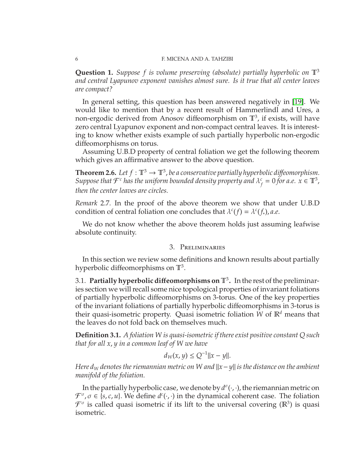### 6 F. MICENA AND A. TAHZIBI

**Question 1.** *Suppose f is volume preserving (absolute) partially hyperbolic on* T<sup>3</sup> *and central Lyapunov exponent vanishes almost sure. Is it true that all center leaves are compact?*

In general setting, this question has been answered negatively in [\[19\]](#page-21-9). We would like to mention that by a recent result of Hammerlindl and Ures, a non-ergodic derived from Anosov diffeomorphism on  $\mathbb{T}^3$ , if exists, will have zero central Lyapunov exponent and non-compact central leaves. It is interesting to know whether exists example of such partially hyperbolic non-ergodic diffeomorphisms on torus.

Assuming U.B.D property of central foliation we get the following theorem which gives an affirmative answer to the above question.

<span id="page-5-0"></span>**Theorem 2.6.** Let  $f : \mathbb{T}^3 \to \mathbb{T}^3$ , be a conservative partially hyperbolic diffeomorphism. Suppose that  $\mathcal{F}^c$  has the uniform bounded density property and  $\lambda_f^c$  $f_f^c = 0$  *for a.e.*  $x \in \mathbb{T}^3$ , *then the center leaves are circles.*

*Remark* 2.7*.* In the proof of the above theorem we show that under U.B.D condition of central foliation one concludes that  $\lambda^c(f) = \lambda^c(f_*)$ , *a.e.* 

We do not know whether the above theorem holds just assuming leafwise absolute continuity.

## 3. Preliminaries

In this section we review some definitions and known results about partially hyperbolic diffeomorphisms on  $\mathbb{T}^3$ .

3.1. **Partially hyperbolic di**ff**eomorphisms on** T<sup>3</sup> **.** In the rest of the preliminaries section we will recall some nice topological properties of invariant foliations of partially hyperbolic diffeomorphisms on 3-torus. One of the key properties of the invariant foliations of partially hyperbolic diffeomorphisms in 3-torus is their quasi-isometric property. Quasi isometric foliation *W* of R*<sup>d</sup>* means that the leaves do not fold back on themselves much.

<span id="page-5-1"></span>**Definition 3.1.** *A foliation W is quasi-isometric if there exist positive constant Q such that for all x*, *y in a common leaf of W we have*

$$
d_W(x, y) \le Q^{-1} ||x - y||.
$$

*Here d<sub>W</sub> denotes the riemannian metric on W and*  $||x−y||$  *is the distance on the ambient manifold of the foliation.*

In the partially hyperbolic case, we denote by  $d^{\sigma}(\cdot,\cdot)$ , the riemannian metric on  $\mathcal{F}^{\sigma}, \sigma \in \{s, c, u\}$ . We define  $d^c(\cdot, \cdot)$  in the dynamical coherent case. The foliation  $\mathcal{F}^{\sigma}$  is called quasi isometric if its lift to the universal covering ( $\mathbb{R}^{3}$ ) is quasi isometric.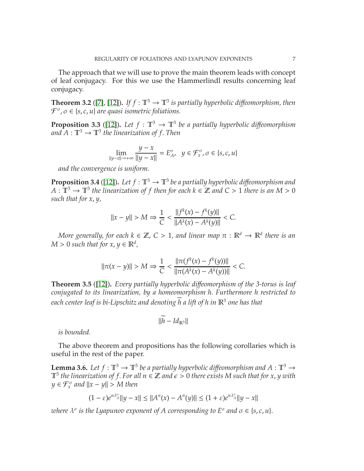The approach that we will use to prove the main theorem leads with concept of leaf conjugacy. For this we use the Hammerlindl results concerning leaf conjugacy.

**Theorem 3.2** ([\[7\]](#page-21-10), [\[12\]](#page-21-8)). *If*  $f : \mathbb{T}^3 \to \mathbb{T}^3$  *is partially hyperbolic diffeomorphism, then* F σ , σ ∈ {*s*, *c*, *u*} *are quasi isometric foliations.*

<span id="page-6-0"></span>**Proposition 3.3** ([\[12\]](#page-21-8)). Let  $f : \mathbb{T}^3 \to \mathbb{T}^3$  be a partially hyperbolic diffeomorphism and  $A:\mathbb{T}^3\to \mathbb{T}^3$  the linearization of f. Then

$$
\lim_{\|y-x\|\to+\infty} \frac{y-x}{\|y-x\|} = E^{\sigma}_{A}, \quad y \in \mathcal{F}^{\sigma}_{x}, \sigma \in \{s, c, u\}
$$

*and the convergence is uniform.*

<span id="page-6-1"></span>**Proposition 3.4** ([\[12\]](#page-21-8)). Let  $f : \mathbb{T}^3 \to \mathbb{T}^3$  be a partially hyperbolic diffeomorphism and  $A:\mathbb{T}^3\to \mathbb{T}^3$  the linearization of f then for each  $k\in \mathbb{Z}$  and  $C>1$  there is an  $M>0$ *such that for x*, *y,*

$$
||x - y|| > M \Rightarrow \frac{1}{C} < \frac{||f^k(x) - f^k(y)||}{||A^k(x) - A^k(y)||} < C.
$$

*More generally, for each*  $k \in \mathbb{Z}$ ,  $C > 1$ , and linear map  $\pi : \mathbb{R}^d \to \mathbb{R}^d$  there is an  $M > 0$  *such that for*  $x, y \in \mathbb{R}^d$ ,

$$
\|\pi(x-y)\| > M \Rightarrow \frac{1}{C} < \frac{\|\pi(f^k(x) - f^k(y))\|}{\|\pi(A^k(x) - A^k(y))\|} < C.
$$

<span id="page-6-3"></span>**Theorem 3.5** ([\[12\]](#page-21-8))**.** *Every partially hyperbolic di*ff*eomorphism of the 3-torus is leaf conjugated to its linearization, by a homeomorphism h*. *Furthermore h restricted to* each center leaf is bi-Lipschitz and denoting  $\overline{h}$  a lift of h in  $\mathbb{R}^3$  one has that

$$
||h - Id_{\mathbb{R}^3}||
$$

*is bounded.*

The above theorem and propositions has the following corollaries which is useful in the rest of the paper.

<span id="page-6-2"></span>**Lemma 3.6.** Let  $f : \mathbb{T}^3 \to \mathbb{T}^3$  be a partially hyperbolic diffeomorphism and  $A : \mathbb{T}^3 \to$  $\mathbb{T}^3$  the linearization of f. For all  $n \in \mathbb{Z}$  and  $\epsilon > 0$  there exists M such that for x, y with  $y \in \mathcal{F}_x^{\sigma}$  and  $||x - y|| > M$  then

$$
(1 - \varepsilon)e^{n\lambda_A^{\sigma}}||y - x|| \le ||A^n(x) - A^n(y)|| \le (1 + \varepsilon)e^{n\lambda_A^{\sigma}}||y - x||
$$

*c where*  $λ<sup>σ</sup>$  *is the Lyapunov exponent of A corresponding to*  $E<sup>σ</sup>$  *and*  $σ ∈ {s, c, u}$ *.*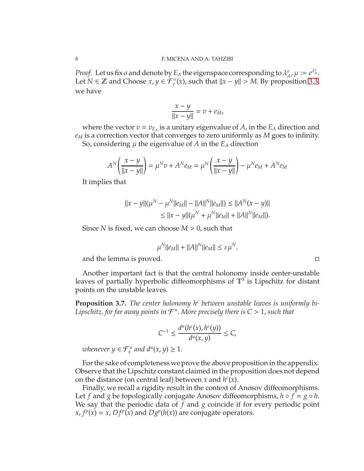*Proof.* Let us fix  $\sigma$  and denote by  $E_A$  the eigenspace corresponding to  $\lambda_A^{\sigma}$  $_{A}^{\sigma}$ ,  $\mu := e^{\lambda_{A}^{\sigma}}$ . Let *N* ∈ **Z** and Choose *x*, *y* ∈  $\mathcal{F}_f^{\sigma}(x)$ , such that  $||x - y|| > M$ . By proposition [3.3,](#page-6-0) we have

$$
\frac{x-y}{\|x-y\|} = v + e_M,
$$

where the vector  $v = v_{E_A}$  is a unitary eigenvalue of *A*, in the  $E_A$  direction and *e<sup>M</sup>* is a correction vector that converges to zero uniformly as *M* goes to infinity. So, considering  $\mu$  the eigenvalue of  $A$  in the  $E_A$  direction

$$
A^{N}\left(\frac{x-y}{\|x-y\|}\right) = \mu^{N}v + A^{N}e_{M} = \mu^{N}\left(\frac{x-y}{\|x-y\|}\right) - \mu^{N}e_{M} + A^{N}e_{M}
$$

It implies that

$$
||x - y||(\mu^N - \mu^N||e_M|| - ||A||^N||e_M||) \le ||A^N(x - y)||
$$
  
\n
$$
\le ||x - y||(\mu^N + \mu^N||e_M|| + ||A||^N||e_M||).
$$

Since *N* is fixed, we can choose  $M > 0$ , such that

$$
\mu^N||e_M|| + ||A||^N||e_M|| \leq \varepsilon \mu^N.
$$

and the lemma is proved.

Another important fact is that the central holonomy inside center-unstable leaves of partially hyperbolic diffeomorphisms of  $\mathbb{T}^3$  is Lipschitz for distant points on the unstable leaves.

<span id="page-7-0"></span>**Proposition 3.7.** The center holonomy h<sup>c</sup> between unstable leaves is uniformly bi-Lipschitz, for far away points in  $\mathcal{F}^u$ . More precisely there is  $C>1$ , such that

$$
C^{-1} \le \frac{d^u(h^c(x), h^c(y))}{d^u(x, y)} \le C,
$$

*whenever*  $y \in \mathcal{F}_x^u$  and  $d^u(x, y) \geq 1$ .

For the sake of completeness we prove the above proposition in the appendix. Observe that the Lipschitz constant claimed in the proposition does not depend on the distance (on central leaf) between *x* and  $h^c(x)$ .

Finally, we recall a rigidity result in the context of Anosov diffeomorphisms. Let *f* and *g* be topologically conjugate Anosov diffeomorphisms,  $h \circ f = g \circ h$ . We say that the periodic data of *f* and *g* coincide if for every periodic point  $x, f^p(x) = x, Df^p(x)$  and  $Dg^p(h(x))$  are conjugate operators.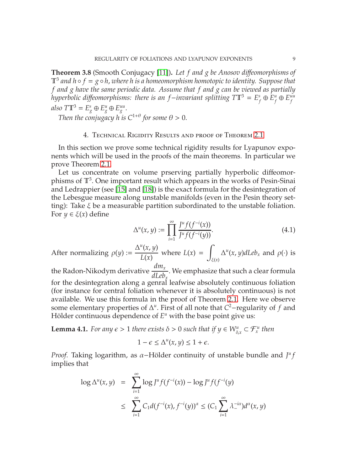**Theorem 3.8** (Smooth Conjugacy [\[11\]](#page-21-11))**.** *Let f and g be Anosov di*ff*eomorphisms of*  $\mathbb{T}^3$  and  $h \circ f = g \circ h$ , where h is a homeomorphism homotopic to identity. Suppose that *f and g have the same periodic data. Assume that f and g can be viewed as partially hyperbolic di*ff*eomorphisms: there is an f*−*invariant splitting T*T<sup>3</sup> = *E s*  $f_f^s$  ⊕  $E_f^u$  $f^u$   $\oplus$   $E^{uu}_{f}$ *f*  $also T\mathbb{T}^3 = E^s_g \oplus E^u_g \oplus E^{uu}_g.$ 

*Then the conjugacy h is*  $C^{1+\theta}$  *for some*  $\theta > 0$ *.* 

### 4. Technical Rigidity Results and proof of Theorem [2.1](#page-3-0)

In this section we prove some technical rigidity results for Lyapunov exponents which will be used in the proofs of the main theorems. In particular we prove Theorem [2.1.](#page-3-0)

Let us concentrate on volume prserving partially hyperbolic diffeomorphisms of  $\mathbb{T}^3$ . One important result which appears in the works of Pesin-Sinai and Ledrappier (see [\[15\]](#page-21-1) and [\[18\]](#page-21-0)) is the exact formula for the desintegration of the Lebesgue measure along unstable manifolds (even in the Pesin theory setting): Take  $\xi$  be a measurable partition subordinated to the unstable foliation. For  $y \in \xi(x)$  define

<span id="page-8-0"></span>
$$
\Delta^{u}(x, y) := \prod_{i=1}^{\infty} \frac{J^{u} f(f^{-i}(x))}{J^{u} f(f^{-i}(y))}.
$$
\n(4.1)

After normalizing 
$$
\rho(y) := \frac{\Delta^u(x, y)}{L(x)}
$$
 where  $L(x) = \int_{\xi(x)} \Delta^u(x, y) dL e b_x$  and  $\rho(\cdot)$  is

the Radon-Nikodym derivative *dm<sup>x</sup> dLeb<sup>x</sup>* . We emphasize that such a clear formula for the desintegration along a genral leafwise absolutely continuous foliation (for instance for central foliation whenever it is absolutely continuous) is not available. We use this formula in the proof of Theorem [2.1.](#page-3-0) Here we observe some elementary properties of  $\Delta^u$ . First of all note that *C*<sup>2</sup>-regularity of *f* and Hölder continuous dependence of  $E^u$  with the base point give us:

<span id="page-8-1"></span>**Lemma 4.1.** *For any*  $\epsilon > 1$  *there exists*  $\delta > 0$  *such that if*  $y \in W_{\delta,x}^u \subset \mathcal{F}_x^u$  *then* 

$$
1 - \epsilon \le \Delta^u(x, y) \le 1 + \epsilon.
$$

*Proof.* Taking logarithm, as  $\alpha$ -Hölder continuity of unstable bundle and  $J^u f$ implies that

$$
\log \Delta^{u}(x, y) = \sum_{i=1}^{\infty} \log J^{u} f(f^{-i}(x)) - \log J^{u} f(f^{-i}(y))
$$
  

$$
\leq \sum_{i=1}^{\infty} C_{1} d(f^{-i}(x), f^{-i}(y))^{\alpha} \leq (C_{1} \sum_{i=1}^{\infty} \lambda_{-}^{-i\alpha}) d^{\alpha}(x, y)
$$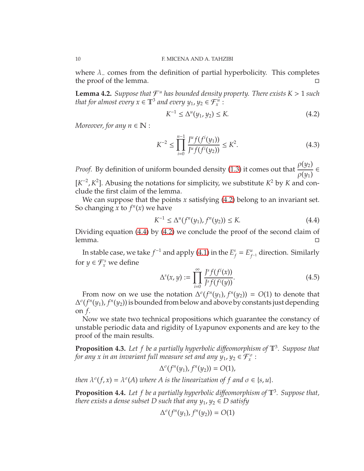where  $\lambda$ <sub>-</sub> comes from the definition of partial hyperbolicity. This completes the proof of the lemma.

<span id="page-9-2"></span>**Lemma 4.2.** Suppose that  $\mathcal{F}^u$  has bounded density property. There exists  $K > 1$  such *that for almost every*  $x \in \mathbb{T}^3$  *and every*  $y_1, y_2 \in \mathcal{F}_x^u$ :

<span id="page-9-0"></span>
$$
K^{-1} \le \Delta^u(y_1, y_2) \le K. \tag{4.2}
$$

*Moreover, for any n*  $\in \mathbb{N}$  :

<span id="page-9-4"></span>
$$
K^{-2} \le \prod_{i=0}^{n-1} \frac{J^u f(f^i(y_1))}{J^u f(f^i(y_2))} \le K^2.
$$
 (4.3)

*Proof.* By definition of uniform bounded density [\(1.3\)](#page-2-0) it comes out that ρ(*y*2)  $\rho(y_1)$ ∈

 $[K^{-2}, K^2]$ . Abusing the notations for simplicity, we substitute  $K^2$  by *K* and conclude the first claim of the lemma.

We can suppose that the points *x* satisfying [\(4.2\)](#page-9-0) belong to an invariant set. So changing *x* to  $f<sup>n</sup>(x)$  we have

<span id="page-9-1"></span>
$$
K^{-1} \le \Delta^u(f^n(y_1), f^n(y_2)) \le K. \tag{4.4}
$$

Dividing equation [\(4.4\)](#page-9-1) by [\(4.2\)](#page-9-0) we conclude the proof of the second claim of  $l$ emma.

In stable case, we take  $f^{-1}$  and apply [\(4](#page-8-0).1) in the  $E_f^s$  $f_f^s = E_f^u$ *f* <sup>−</sup><sup>1</sup> direction. Similarly for  $y \in \mathcal{F}_x^s$  we define

$$
\Delta^{s}(x, y) := \prod_{i=0}^{\infty} \frac{J^{s} f(f^{i}(x))}{J^{s} f(f^{i}(y))}.
$$
\n(4.5)

From now on we use the notation  $\Delta^{\sigma}(f^{n}(y_1), f^{n}(y_2)) = O(1)$  to denote that ∆ σ (*f n* (*y*1), *f n* (*y*2)) is bounded from below and above by constants just depending on *f*.

Now we state two technical propositions which guarantee the constancy of unstable periodic data and rigidity of Lyapunov exponents and are key to the proof of the main results.

<span id="page-9-3"></span>**Proposition 4.3.** *Let f be a partially hyperbolic di*ff*eomorphism of* T<sup>3</sup> *. Suppose that* for any  $x$  in an invariant full measure set and any  $y_1, y_2 \in \mathcal{F}^\sigma_x$  :

$$
\Delta^{\sigma}(f^n(y_1), f^n(y_2)) = O(1),
$$

*then*  $\lambda^{\sigma}(f, x) = \lambda^{\sigma}(A)$  *where* A *is the linearization of* f *and*  $\sigma \in \{s, u\}.$ 

<span id="page-9-5"></span>**Proposition 4.4.** Let f be a partially hyperbolic diffeomorphism of  $\mathbb{T}^3$ . Suppose that, *there exists a dense subset D such that any*  $y_1, y_2 \in D$  *satisfy* 

$$
\Delta^{\sigma}(f^{n}(y_1),f^{n}(y_2))=O(1)
$$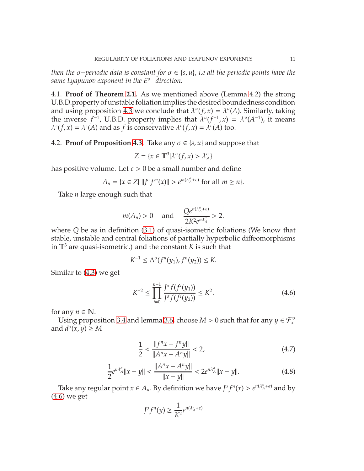*then the* σ−*periodic data is constant for* σ ∈ {*s*, *u*}, *i.e all the periodic points have the same Lyapunov exponent in the E*<sup>σ</sup>−*direction.*

4.1. **Proof of Theorem [2.1.](#page-3-0)** As we mentioned above (Lemma [4.2\)](#page-9-2) the strong U.B.D.property of unstable foliation implies the desired boundedness condition and using proposition [4.3](#page-9-3) we conclude that  $\lambda^u(f, x) = \lambda^u(A)$ . Similarly, taking the inverse  $f^{-1}$ , U.B.D. property implies that  $\lambda^u(f^{-1},x) = \lambda^u(A^{-1})$ , it means  $\lambda^{s}(f, x) = \lambda^{s}(A)$  and as *f* is conservative  $\lambda^{c}(f, x) = \lambda^{c}(A)$  too.

## **4.2. Proof of Proposition [4.3.](#page-9-3)** Take any  $\sigma \in \{s, u\}$  and suppose that

$$
Z=\{x\in \mathbb{T}^3 | \lambda^\sigma(f,x)>\lambda_A^\sigma\}
$$

has positive volume. Let  $\varepsilon > 0$  be a small number and define

$$
A_n = \{x \in Z \mid ||J^{\sigma}f^m(x)|| > e^{m(\lambda_A^{\sigma} + \varepsilon)} \text{ for all } m \ge n\}.
$$

Take *n* large enough such that

$$
m(A_n)>0 \quad \text{ and } \quad \frac{Qe^{n(\lambda_A^{\sigma}+\varepsilon)}}{2K^2e^{n\lambda_A^{\sigma}}}>2.
$$

where *Q* be as in definition [\(3.1\)](#page-5-1) of quasi-isometric foliations (We know that stable, unstable and central foliations of partially hyperbolic diffeomorphisms in  $\mathbb{T}^3$  are quasi-isometric.) and the constant *K* is such that

$$
K^{-1} \leq \Delta^{\sigma}(f^{n}(y_1), f^{n}(y_2)) \leq K.
$$

Similar to [\(4.3\)](#page-9-4) we get

<span id="page-10-0"></span>
$$
K^{-2} \le \prod_{i=0}^{n-1} \frac{J^{\sigma} f(f^{i}(y_1))}{J^{\sigma} f(f^{i}(y_2))} \le K^2.
$$
 (4.6)

for any  $n \in \mathbb{N}$ .

Using proposition [3.4](#page-6-1) and lemma [3.6,](#page-6-2) choose  $M > 0$  such that for any  $y \in \mathcal{F}^{\sigma}_{x}$ and  $d^{\sigma}(x, y) \geq M$ 

<span id="page-10-1"></span>
$$
\frac{1}{2} < \frac{\|f^n x - f^n y\|}{\|A^n x - A^n y\|} < 2,\tag{4.7}
$$

<span id="page-10-2"></span>
$$
\frac{1}{2}e^{n\lambda_A^{\sigma}}\|x-y\| < \frac{\|A^n x - A^n y\|}{\|x-y\|} < 2e^{n\lambda_A^{\sigma}}\|x-y\|.\tag{4.8}
$$

Take any regular point  $x \in A_n$ . By definition we have  $J^{\sigma} f^{n}(x) > e^{n(\lambda^{\sigma}_A + \epsilon)}$  and by [\(4.6\)](#page-10-0) we get

$$
J^{\sigma}f^{n}(y) \geq \frac{1}{K^{2}}e^{n(\lambda_{A}^{\sigma}+\varepsilon)}
$$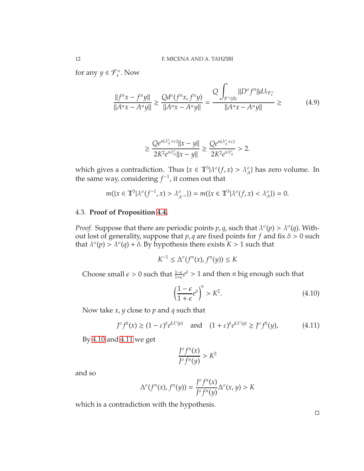for any  $y \in \mathcal{F}_x^{\sigma}$ . Now

$$
\frac{||f^n x - f^n y||}{||A^n x - A^n y||} \ge \frac{Q d^{\sigma} (f^n x, f^n y)}{||A^n x - A^n y||} = \frac{Q \int_{\mathcal{F}^{\sigma}(B)} ||D^{\sigma} f^n|| d\lambda_{\mathcal{F}^{\sigma}_x}}{||A^n x - A^n y||} \ge (4.9)
$$

$$
\geq \frac{Qe^{n(\lambda_A^{\sigma}+\varepsilon)}\|x-y\|}{2K^2e^{n\lambda_A^{\sigma}}\|x-y\|}\geq \frac{Qe^{n(\lambda_A^{\sigma}+\varepsilon)}}{2K^2e^{n\lambda_A^{\sigma}}}>2.
$$

which gives a contradiction. Thus  $\{x \in \mathbb{T}^3 | \lambda^{\sigma}(f, x) > \lambda^{\sigma}_A \}$  has zero volume. In the same way, considering  $f^{-1}$ , it comes out that

$$
m(\lbrace x \in \mathbb{T}^3 | \lambda^{\sigma}(f^{-1}, x) > \lambda^{\sigma}_{A^{-1}} \rbrace) = m(\lbrace x \in \mathbb{T}^3 | \lambda^{\sigma}(f, x) < \lambda^{\sigma}_{A} \rbrace) = 0.
$$

## 4.3. **Proof of Proposition [4.4.](#page-9-5)**

*Proof.* Suppose that there are periodic points  $p$ ,  $q$ , such that  $\lambda^{\sigma}(p) > \lambda^{\sigma}(q)$ . Without lost of generality, suppose that  $p$ ,  $q$  are fixed points for  $f$  and fix  $\delta > 0$  such that  $\lambda^{\sigma}(p) > \lambda^{\sigma}(q) + \delta$ . By hypothesis there exists  $K > 1$  such that

$$
K^{-1}\leq \Delta^{\sigma}(f^{n}(x),f^{n}(y))\leq K
$$

Choose small  $\epsilon > 0$  such that  $\frac{1-\epsilon}{1+\epsilon}e^{\delta} > 1$  and then *n* big enough such that

<span id="page-11-0"></span>
$$
\left(\frac{1-\epsilon}{1+\epsilon}e^{\delta}\right)^n > K^2.
$$
\n(4.10)

Now take *x*, *y* close to *p* and *q* such that

<span id="page-11-1"></span>
$$
J^{\sigma} f^{k}(x) \ge (1 - \varepsilon)^{k} e^{k\lambda^c(p)} \quad \text{and} \quad (1 + \varepsilon)^{k} e^{k\lambda^c(q)} \ge J^{\sigma} f^{k}(y), \tag{4.11}
$$

By [4.10](#page-11-0) and [4.11](#page-11-1) we get

$$
\frac{J^{\sigma}f^{n}(x)}{J^{\sigma}f^{n}(y)} > K^{2}
$$

and so

$$
\Delta^{\sigma}(f^n(x), f^n(y)) = \frac{J^{\sigma}f^n(x)}{J^{\sigma}f^n(y)} \Delta^{\sigma}(x, y) > K
$$

which is a contradiction with the hypothesis.

 $\Box$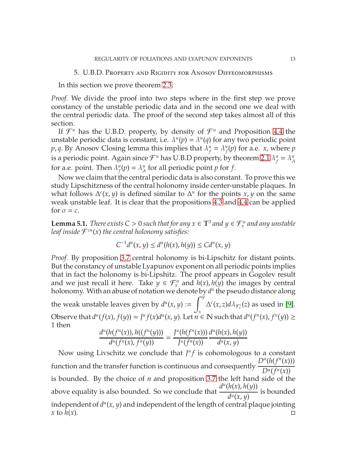### 5. U.B.D. Property and Rigidity for Anosov Diffeomorphisms

In this section we prove theorem [2.3.](#page-4-0)

*Proof.* We divide the proof into two steps where in the first step we prove constancy of the unstable periodic data and in the second one we deal with the central periodic data. The proof of the second step takes almost all of this section.

If  $\mathcal{F}^u$  has the U.B.D. property, by density of  $\mathcal{F}^u$  and Proposition [4.4](#page-9-5) the unstable periodic data is constant, i.e.  $\lambda^u(p) = \lambda^u(q)$  for any two periodic point  $p$ , *q*. By Anosov Closing lemma this implies that  $\lambda^u_f$  $f^u = \lambda^u_f$  $f_f^u(p)$  for a.e. *x*, where  $p$ is a periodic point. Again since  $\mathcal{F}^u$  has U.B.D property, by theorem [2.1](#page-3-0)  $\lambda^u_\mu$  $f^u = \lambda^u_A$ *A* for a.e. point. Then  $\lambda^u_f$  $\lambda_f^u(p) = \lambda_A^u$  $^{\mu}_{A}$  for all periodic point *p* for *f*.

Now we claim that the central periodic data is also constant. To prove this we study Lipschitzness of the central holonomy inside center-unstable plaques. In what follows  $\Delta^{c}(x, y)$  is defined similar to  $\Delta^{u}$  for the points *x*, *y* on the same weak unstable leaf. It is clear that the propositions [4.3](#page-9-3) and [4.4](#page-9-5) can be applied for  $\sigma = c$ .

**Lemma 5.1.** *There exists*  $C > 0$  *such that for any*  $x \in \mathbb{T}^3$  *and*  $y \in \mathcal{F}_x^u$  *and any unstable leaf inside* F *cu*(*x*) *the central holonomy satisfies:*

$$
C^{-1}d^{u}(x, y) \leq d^{u}(h(x), h(y)) \leq C d^{u}(x, y)
$$

*Proof.* By proposition [3.7](#page-7-0) central holonomy is bi-Lipschitz for distant points. But the constancy of unstable Lyapunov exponent on all periodic points implies that in fact the holonomy is bi-Lipshitz. The proof appears in Gogolev result and we just recall it here. Take  $y \in \mathcal{F}_x^u$  and  $h(x)$ ,  $h(y)$  the images by central holonomy. With an abuse of notation we denote by  $d^u$  the pseudo distance along the weak unstable leaves given by  $d^u(x, y)$  :=  $\int^{\tilde{y}}$ *x*  $\Delta^{c}(x, z)d\lambda_{\mathcal{F}_{x}^{c}}(z)$  as used in [\[9\]](#page-21-12). Observe that  $d^u(f(x), f(y)) = J^u f(x) d^u(x, y)$ . Let  $\overline{n} \in \mathbb{N}$  such that  $d^u(f^n(x), f^n(y)) \ge$ 1 then

$$
\frac{d^{u}(h(f^{n}(x)), h((f^{n}(y)))}{d^{u}(f^{n}(x), f^{n}(y))} = \frac{f^{u}(h(f^{n}(x)))}{f^{u}(f^{n}(x))} \frac{d^{u}(h(x), h(y))}{d^{u}(x, y)}
$$

Now using Livschitz we conclude that  $J^{\mu}f$  is cohomologous to a constant function and the transfer function is continuous and consequently  $D^u(h(f^n(x)))$  $D^u(f^n(x))$ is bounded. By the choice of *n* and proposition [3.7](#page-7-0) the left hand side of the above equality is also bounded. So we conclude that *d u* (*h*(*x*), *h*(*y*)) *d u* (*x*, *y*) is bounded independent of  $d^u(x, y)$  and independent of the length of central plaque jointing  $x \text{ to } \hat{h}(x).$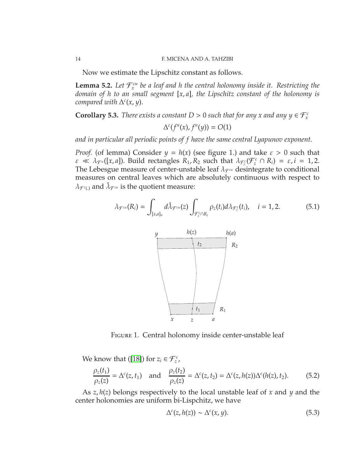Now we estimate the Lipschitz constant as follows.

**Lemma 5.2.** Let  $\mathcal{F}_x^{cu}$  be a leaf and h the central holonomy inside it. Restricting the *domain of h to an small segment* [*x*, *a*]*, the Lipschitz constant of the holonomy is compared with* ∆ *c* (*x*, *y*).

<span id="page-13-3"></span>**Corollary 5.3.** *There exists a constant*  $D > 0$  *such that for any x and any*  $y \in \mathcal{F}_x^c$ 

$$
\Delta^c(f^n(x), f^n(y)) = O(1)
$$

*and in particular all periodic points of f have the same central Lyapunov exponent.*

*Proof.* (of lemma) Consider  $y = h(x)$  (see figure 1.) and take  $\varepsilon > 0$  such that  $\varepsilon \ll \lambda_{\mathcal{F}^u}([x,a])$ . Build rectangles  $R_1, R_2$  such that  $\lambda_{\mathcal{F}_z^c}(\mathcal{F}_z^c \cap R_i) = \varepsilon, i = 1,2$ . The Lebesgue measure of center-unstable leaf  $\lambda_{\mathcal{F}^{cu}}$  desintegrate to conditional measures on central leaves which are absolutely continuous with respect to  $\lambda_{\mathcal{F}^{c}(\lambda)}$  and  $\hat{\lambda}_{\mathcal{F}^{cu}}$  is the quotient measure:

<span id="page-13-0"></span>
$$
\lambda_{\mathcal{F}^{cu}}(R_i) = \int_{[x,a]_{u}} d\hat{\lambda}_{\mathcal{F}^{cu}}(z) \int_{\mathcal{F}_z^c \cap R_i} \rho_z(t_i) d\lambda_{\mathcal{F}_z^c}(t_i), \quad i = 1, 2. \tag{5.1}
$$



Figure 1. Central holonomy inside center-unstable leaf

We know that ([\[18\]](#page-21-0)) for  $z_i \in \mathcal{F}_z^c$ ,

<span id="page-13-1"></span>
$$
\frac{\rho_z(t_1)}{\rho_z(z)} = \Delta^c(z, t_1) \text{ and } \frac{\rho_z(t_2)}{\rho_z(z)} = \Delta^c(z, t_2) = \Delta^c(z, h(z))\Delta^c(h(z), t_2). \tag{5.2}
$$

As *z*, *h*(*z*) belongs respectively to the local unstable leaf of *x* and *y* and the center holonomies are uniform bi-Lispchitz, we have

<span id="page-13-2"></span>
$$
\Delta^{c}(z, h(z)) \sim \Delta^{c}(x, y). \tag{5.3}
$$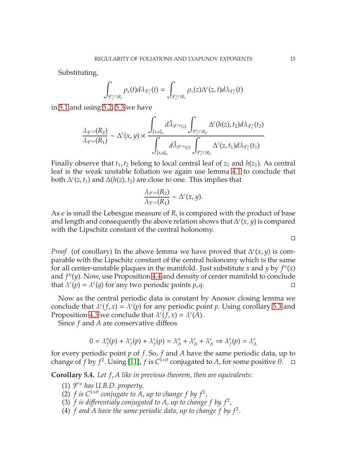Substituting,

$$
\int_{\mathcal{F}_z^c\cap R_i}\rho_z(t)d\lambda_{\mathcal{F}_z^c}(t)=\int_{\mathcal{F}_z^c\cap R_i}\rho_z(z)\Delta^c(z,t)d\lambda_{\mathcal{F}_z^c}(t)
$$

in [5.1](#page-13-0) and using [5.2,](#page-13-1) [5.3](#page-13-2) we have

$$
\frac{\lambda_{\mathcal{F}^{cu}}(R_2)}{\lambda_{\mathcal{F}^{cu}}(R_1)} \sim \Delta^c(x,y) \times \frac{\displaystyle\int_{[x,a]_u} d\hat{\lambda}_{\mathcal{F}^{cu}(z)} \int_{\mathcal{F}_z^c \cap R_2} \Delta^c(h(z),t_2) d\lambda_{\mathcal{F}_z^c}(t_2)}{\displaystyle\int_{[x,a]_u} d\hat{\lambda}_{\mathcal{F}^{cu}(z)} \int_{\mathcal{F}_z^c \cap R_1} \Delta^c(z,t_1) d\lambda_{\mathcal{F}_z^c}(t_1)}
$$

Finally observe that  $t_1$ ,  $t_2$  belong to local central leaf of  $z_1$  and  $h(z_1)$ . As central leaf is the weak unstable foliation we again use lemma [4.1](#page-8-1) to conclude that both  $\Delta^c(z, t_1)$  and  $\Delta(h(z), t_2)$  are close to one. This implies that

$$
\frac{\lambda_{\mathcal{F}^{cu}}(R_2)}{\lambda_{\mathcal{F}^{cu}}(R_1)} \sim \Delta^c(x,y).
$$

As  $\epsilon$  is small the Lebesgue measure of  $R_i$  is compared with the product of base and length and consequently the above relation shows that  $\Delta^c(x, y)$  is compared with the Lipschitz constant of the central holonomy.

*Proof.* (of corollary) In the above lemma we have proved that  $\Delta^c(x, y)$  is comparable with the Lipschitz constant of the central holonomy which is the same for all center-unstable plaques in the manifold. Just substitute *x* and *y* by  $f^n(x)$ and  $f<sup>n</sup>(y)$ . Now, use Proposition [4.4](#page-9-5) and density of center manifold to conclude that  $\lambda^c(p) = \lambda^c(q)$  for any two periodic points *p*, *q*.

Now as the central periodic data is constant by Anosov closing lemma we conclude that  $\lambda^c(f, x) = \lambda^c(p)$  for any periodic point *p*. Using corollary [5.3](#page-13-3) and Proposition [4.3](#page-9-3) we conclude that  $\lambda^c(f, x) = \lambda^c(A)$ .

Since *f* and *A* are conservative diffeos

$$
0 = \lambda_f^u(p) + \lambda_f^c(p) + \lambda_f^s(p) = \lambda_A^u + \lambda_A^c + \lambda_A^s \Rightarrow \lambda_f^s(p) = \lambda_A^s
$$

for every periodic point *p* of *f*. So, *f* and *A* have the same periodic data, up to change of *f* by  $f^2$ . Using [\[11\]](#page-21-11), *f* is  $C^{1+\theta}$  conjugated to *A*, for some positive  $\theta$ .  $\Box$ 

**Corollary 5.4.** *Let f*, *A like in previous theorem, then are equivalents:*

- (1) F *<sup>u</sup> has U.B.D. property,*
- (2)  $f$  is  $C^{1+\theta}$  conjugate to  $\overline{A}$ , up to change  $f$  by  $f^2$ ,
- (3)  $f$  is differentialy conjugated to  $A$ , up to change  $f$  by  $f^2$ ,
- (4)  $f$  and  $A$  have the same periodic data, up to change  $f$  by  $f^2$ .

 $\Box$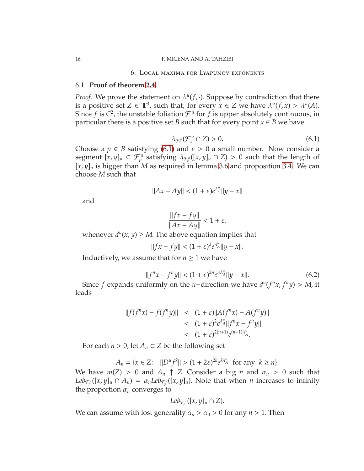#### 6. Local maxima for Lyapunov exponents

## 6.1. **Proof of theorem [2.4.](#page-4-1)**

*Proof.* We prove the statement on  $\lambda^u(f, \cdot)$ . Suppose by contradiction that there is a positive set  $Z \in \mathbb{T}^3$ , such that, for every  $x \in Z$  we have  $\lambda^u(f, x) > \lambda^u(A)$ . Since  $f$  is  $C^2$ , the unstable foliation  $\mathcal{F}^u$  for  $f$  is upper absolutely continuous, in particular there is a positive set *B* such that for every point  $x \in B$  we have

<span id="page-15-0"></span>
$$
\lambda_{\mathcal{F}_x^u}(\mathcal{F}_x^u \cap Z) > 0. \tag{6.1}
$$

Choose a  $p \in B$  satisfying [\(6.1\)](#page-15-0) and  $\varepsilon > 0$  a small number. Now consider a segment  $[x, y]_u \subset \mathcal{F}_p^u$  satisfying  $\lambda_{\mathcal{F}_p^u}([x, y]_u \cap Z) > 0$  such that the length of  $[x, y]_u$  is bigger than *M* as required in lemma [3.6](#page-6-2) and proposition [3.4.](#page-6-1) We can choose *M* such that

$$
||Ax - Ay|| < (1 + \varepsilon)e^{\lambda_A^u}||y - x||
$$

and

$$
\frac{\|fx - fy\|}{\|Ax - Ay\|} < 1 + \varepsilon.
$$

whenever  $d^u(x, y) \geq M$ . The above equation implies that

$$
||fx - fy|| < (1 + \varepsilon)^2 e^{\lambda_A^u} ||y - x||.
$$

Inductively, we assume that for  $n \geq 1$  we have

<span id="page-15-1"></span>
$$
||f^{n}x - f^{n}y|| < (1 + \varepsilon)^{2n} e^{n\lambda_{A}^{n}}||y - x||. \tag{6.2}
$$

Since *f* expands uniformly on the *u*−direction we have  $d^u(f^n x, f^n y) > M$ , it leads

$$
||f(f^{n}x) - f(f^{n}y)|| \le (1 + \varepsilon) ||A(f^{n}x) - A(f^{n}y)||
$$
  

$$
< (1 + \varepsilon)^{2} e^{\lambda_{A}^{n}} ||f^{n}x - f^{n}y||
$$
  

$$
< (1 + \varepsilon)^{2(n+1)} e^{(n+1)\lambda_{A}^{n}}.
$$

For each  $n > 0$ , let  $A_n \subset Z$  be the following set

$$
A_n = \{x \in Z: \ \|D^u f^k\| > (1 + 2\varepsilon)^{2k} e^{k\lambda_A^u} \text{ for any } k \ge n\}.
$$

We have  $m(Z) > 0$  and  $A_n \uparrow Z$ . Consider a big *n* and  $\alpha_n > 0$  such that *Leb*<sub> $\mathcal{F}_{p}^{u}([x,y]_{u} \cap A_{n}) = \alpha_{n} L e b_{\mathcal{F}_{p}^{u}}([x,y]_{u})$ . Note that when *n* increases to infinity</sub> the proportion  $\alpha_n$  converges to

$$
Leb_{\mathcal{F}_p^u}([x,y]_u \cap Z).
$$

We can assume with lost generality  $\alpha_n > \alpha_0 > 0$  for any  $n > 1$ . Then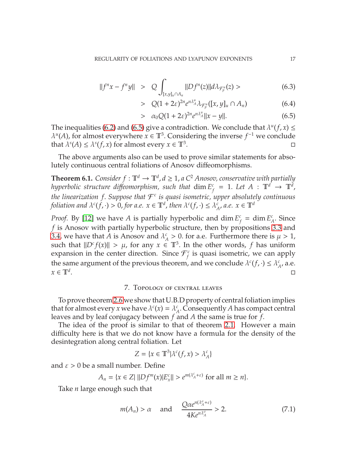<span id="page-16-0"></span>
$$
||f^{n}x - f^{n}y|| > Q \int_{[x,y]_{u} \cap A_{n}} ||Df^{n}(z)|| d\lambda_{\mathcal{F}_{p}^{u}}(z) > \qquad (6.3)
$$

$$
> Q(1+2\varepsilon)^{2n} e^{n\lambda_A^n} \lambda_{\mathcal{F}_p^u}([x,y]_u \cap A_n)
$$
 (6.4)

$$
> \alpha_0 Q (1 + 2\varepsilon)^{2n} e^{n\lambda_A^n} \|x - y\|.
$$
 (6.5)

The inequalities [\(6](#page-16-0).2) and (6.5) give a contradiction. We conclude that  $\lambda^u(f, x) \leq$  $\lambda^u(A)$ , for almost everywhere  $x \in \mathbb{T}^3$ . Considering the inverse  $f^{-1}$  we conclude that  $\lambda^{s}(A) \leq \lambda^{s}(f, x)$  for almost every  $x \in \mathbb{T}^{3}$ . С *редативно стали в других* производительно с производительно с принятий и с производительно с пр<br>С редакции с производительно с производительно с производительно с производительно с производительно с произво<br>В редакци

The above arguments also can be used to prove similar statements for absolutely continuous central foliations of Anosov diffeomorphisms.

**Theorem 6.1.** *Consider*  $f: \mathbb{T}^d \to \mathbb{T}^d$ ,  $d \geq 1$ , a  $C^2$  *Anosov, conservative with partially hyperbolic structure di*ff*eomorphism, such that* dim *E c*  $f_f^c = 1$ . Let  $A: \mathbb{T}^d \to \mathbb{T}^d$ , *the linearization f*. *Suppose that* F *c is quasi isometric, upper absolutely continuous foliation and*  $\lambda^c(f, \cdot) > 0$ , *for a.e.*  $x \in \mathbb{T}^d$ , *then*  $\lambda^c(f, \cdot) \le \lambda^c$  $\sum_{A}^{c}$ , *a.e.*  $x \in \mathbb{T}^d$ 

*Proof.* By [\[12\]](#page-21-8) we have *A* is partially hyperbolic and dim *E c*  $f_f^c = \dim E_f^c$  $\frac{c}{A}$ . Since *f* is Anosov with partially hyperbolic structure, then by propositions [3](#page-6-0).3 and [3](#page-6-1).4, we have that *A* is Anosov and  $\lambda^c$  $\frac{c}{A} > 0$ . for a.e. Furthermore there is  $\mu > 1$ , such that  $||D^cf(x)|| > \mu$ , for any  $x \in \mathbb{T}^3$ . In the other words, f has uniform expansion in the center direction. Since  $\mathcal{F}_f^c$  $f_f^c$  is quasi isometric, we can apply the same argument of the previous theorem, and we conclude  $\lambda^c(f, \cdot) \leq \lambda^c_f$  $^c_A$ , a.e.  $x \in \mathbb{T}^d$ . . In the control of the control of the control of the control of the control of the control of the control of t<br>In the control of the control of the control of the control of the control of the control of the control of t

### 7. Topology of central leaves

To prove theorem [2.6](#page-5-0) we show that U.B.D property of central foliation implies that for almost every *x* we have  $\lambda^{c}(x) = \lambda^{c}(x)$  $\alpha_A^c$ . Consequently *A* has compact central leaves and by leaf conjugacy between *f* and *A* the same is true for *f*.

The idea of the proof is similar to that of theorem [2.1.](#page-3-0) However a main difficulty here is that we do not know have a formula for the density of the desintegration along central foliation. Let

$$
Z=\{x\in \mathbb{T}^3 | \lambda^c(f,x)>\lambda^c_A\}
$$

and  $\varepsilon > 0$  be a small number. Define

$$
A_n = \{x \in Z \mid ||Df^m(x)|E_x|| > e^{m(\lambda_A^c + \varepsilon)} \text{ for all } m \ge n\}.
$$

Take *n* large enough such that

$$
m(A_n) > \alpha
$$
 and  $\frac{Q\alpha e^{n(\lambda_A^{\sigma} + \varepsilon)}}{4Ke^{n\lambda_A^{\sigma}}} > 2.$  (7.1)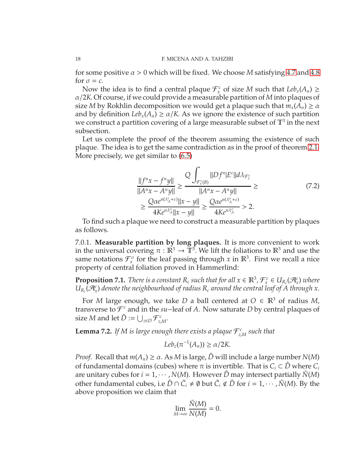for some positive  $\alpha > 0$  which will be fixed. We choose M satisfying [4.7](#page-10-1) and [4.8](#page-10-2) for  $\sigma = c$ .

Now the idea is to find a central plaque  $\mathcal{F}_x^c$  of size *M* such that  $Leb_x(A_n) \ge$ α/2*K*. Of course, if we could provide a measurable partition of *M* into plaques of size *M* by Rokhlin decomposition we would get a plaque such that  $m_x(A_n) \ge \alpha$ and by definition  $Leb_x(A_n) \ge \alpha/K$ . As we ignore the existence of such partition we construct a partition covering of a large measurable subset of  $\mathbb{T}^3$  in the next subsection.

Let us complete the proof of the theorem assuming the existence of such plaque. The idea is to get the same contradiction as in the proof of theorem [2.1.](#page-3-0) More precisely, we get similar to (6.[5\)](#page-16-0)

$$
\frac{||f^n x - f^n y||}{||A^n x - A^n y||} \ge \frac{Q \int_{\mathcal{F}_x^c(B)} ||Df^n| E^c ||d\lambda_{\mathcal{F}_x^c}}{||A^n x - A^n y||} \ge \frac{Q \alpha e^{n(\lambda_A^c + \varepsilon)} ||x - y||}{4Ke^{n\lambda_A^c} ||x - y||} \ge \frac{Q \alpha e^{n(\lambda_A^c + \varepsilon)}}{4Ke^{n\lambda_A^a}} > 2.
$$
\n(7.2)

To find such a plaque we need to construct a measurable partition by plaques as follows.

7.0.1. **Measurable partition by long plaques.** It is more convenient to work in the universal covering  $\pi : \mathbb{R}^3 \to \mathbb{T}^3$ . We lift the foliations to  $\mathbb{R}^3$  and use the same notations  $\mathcal{F}_x^{\sigma}$  for the leaf passing through *x* in  $\mathbb{R}^3$ . First we recall a nice property of central foliation proved in Hammerlind:

**Proposition 7.1.** *There is a constant*  $R_c$  *such that for all*  $x \in \mathbb{R}^3$ ,  $\mathcal{F}_x^c \in U_{R_c}(\mathcal{A}_x^c)$  *where*  $U_{R_c}(\mathcal{A}_x^c)$  *denote the neighbourhood of radius*  $R_c$  *around the central leaf of A through x.* 

For *M* large enough, we take *D* a ball centered at  $O \in \mathbb{R}^3$  of radius *M*, transverse to F *<sup>c</sup>* and in the *su*−leaf of *A*. Now saturate *D* by central plaques of size  $M$  and let  $\hat{D} := \bigcup_{z \in D} \mathcal{F}^c_z$ *z*,*M* .

**Lemma 7.2.** If M is large enough there exists a plaque  $\mathcal{F}_{z}^{c}$ *z*,*M such that*

$$
Leb_z(\pi^{-1}(A_n)) \geq \alpha/2K.
$$

*Proof.* Recall that  $m(A_n) \ge \alpha$ . As *M* is large,  $\hat{D}$  will include a large number *N*(*M*) of fundamental domains (cubes) where  $\pi$  is invertible. That is  $C_i \subset \hat{D}$  where  $C_i$ are unitary cubes for  $i = 1, \dots, N(M)$ . However  $\hat{D}$  may intersect partially  $\tilde{N}(M)$ other fundamental cubes, i.e  $\hat{D} \cap \tilde{C}_i \neq \emptyset$  but  $\tilde{C}_i \notin \hat{D}$  for  $i = 1, \dots, \tilde{N}(M)$ . By the above proposition we claim that

$$
\lim_{M \to \infty} \frac{\tilde{N}(M)}{N(M)} = 0.
$$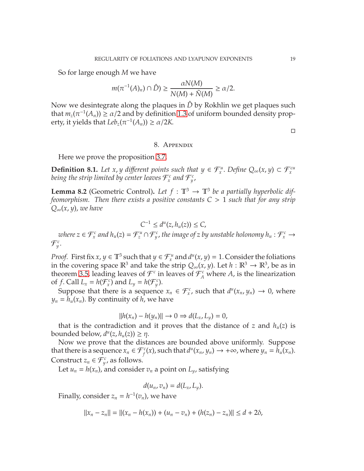So for large enough *M* we have

$$
m(\pi^{-1}(A)_n) \cap \hat{D}) \ge \frac{\alpha N(M)}{N(M) + \tilde{N}(M)} \ge \alpha/2.
$$

Now we desintegrate along the plaques in  $\hat{D}$  by Rokhlin we get plaques such that  $m_z(\pi^{-1}(A_n)) \ge \alpha/2$  and by definition [1.3](#page-2-0) of uniform bounded density property, it yields that  $Leb_z(\pi^{-1}(A_n)) \ge \alpha/2K$ .

 $\Box$ 

### 8. Appendix

Here we prove the proposition [3.7.](#page-7-0)

**Definition 8.1.** *Let x, y different points such that*  $y \in \mathcal{F}_x^u$ *. Define*  $Q_\infty(x, y) \subset \mathcal{F}_x^{cu}$ being the strip limited by center leaves  ${\mathcal F}_x^c$  and  ${\mathcal F}_y^c$ ,

**Lemma 8.2** (Geometric Control). Let  $f : \mathbb{T}^3 \to \mathbb{T}^3$  be a partially hyperbolic dif*feomorphism. Then there exists a positive constants C* > 1 *such that for any strip Q*∞(*x*, *y*), *we have*

$$
C^{-1} \leq d^u(z, h_u(z)) \leq C,
$$

 $z$  *where*  $z \in \mathcal{F}^c_x$  and  $h_u(z) = \mathcal{F}^u_z \cap \mathcal{F}^c_y$ , the image of  $z$  by unstable holonomy  $h_u : \mathcal{F}^c_x \to$  $\mathcal{F}^c_y$ .

*Proof.* First fix  $x, y \in \mathbb{T}^3$  such that  $y \in \mathcal{F}_x^u$  and  $d^u(x, y) = 1$ . Consider the foliations in the covering space  $\mathbb{R}^3$  and take the strip  $Q_\infty(x, y)$ . Let  $h : \mathbb{R}^3 \to \mathbb{R}^3$ , be as in theorem [3.5,](#page-6-3) leading leaves of  $\mathcal{F}^c$  in leaves of  $\mathcal{F}^c_A$  where *A*, is the linearization of *f*. Call  $L_x = h(\mathcal{F}_x^c)$  and  $L_y = h(\mathcal{F}_y^c)$ .

Suppose that there is a sequence  $x_n \in \mathcal{F}^c_x$ , such that  $d^u(x_n, y_n) \to 0$ , where  $y_n = h_u(x_n)$ . By continuity of *h*, we have

$$
||h(x_n) - h(y_n)|| \to 0 \Rightarrow d(L_x, L_y) = 0,
$$

that is the contradiction and it proves that the distance of *z* and  $h_u(z)$  is bounded below,  $d^{u}(z, h_{u}(z)) \geq \eta$ .

Now we prove that the distances are bounded above uniformly. Suppose that there is a sequence  $x_n \in \mathcal{F}_f^c(x)$ , such that  $d^u(x_n, y_n) \to +\infty$ , where  $y_n = h_u(x_n)$ . Construct  $z_n \in \mathcal{F}_y^c$ , as follows.

Let  $u_n = h(x_n)$ , and consider  $v_n$  a point on  $L_v$ , satisfying

$$
d(u_n,v_n)=d(L_x,L_y).
$$

Finally, consider  $z_n = h^{-1}(v_n)$ , we have

$$
||x_n - z_n|| = ||(x_n - h(x_n)) + (u_n - v_n) + (h(z_n) - z_n)|| \le d + 2\delta,
$$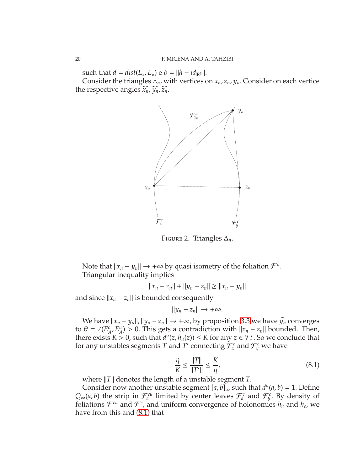such that  $d = dist(L_x, L_y)$  e  $\delta = ||h - id_{\mathbb{R}^3}||$ .

Consider the triangles  $\Delta_n$ , with vertices on  $x_n$ ,  $z_n$ ,  $y_n$ . Consider on each vertice the respective angles  $\tilde{x}_n$ ,  $\tilde{y}_n$ ,  $\tilde{z}_n$ .



Figure 2. Triangles ∆*n*.

Note that  $||x_n - y_n|| \to +\infty$  by quasi isometry of the foliation  $\mathcal{F}^u$ . Triangular inequality implies

$$
||x_n - z_n|| + ||y_n - z_n|| \ge ||x_n - y_n||
$$

and since  $||x_n - z_n||$  is bounded consequently

$$
||y_n - z_n|| \to +\infty.
$$

We have  $||x_n - y_n||$ ,  $||y_n - z_n|| \rightarrow +\infty$ , by proposition [3.3](#page-6-0) we have  $\widehat{y_n}$  converges to  $\theta = \angle(E^c)$  $^c_{A}$ <sup>*,* $^c_{A}$ <sup>*u*</sup><sub>*A*</sub></sup>  $\binom{n}{A}$  > 0. This gets a contradiction with  $|x_n - z_n|$  bounded. Then, there exists  $K > 0$ , such that  $d^u(z, h_u(z)) \le K$  for any  $z \in \mathcal{F}_x^c$ . So we conclude that for any unstables segments  $T$  and  $T'$  connecting  $\mathcal{F}^c_x$  and  $\mathcal{F}^c_y$  we have

<span id="page-19-0"></span>
$$
\frac{\eta}{K} \le \frac{\|T\|}{\|T'\|} \le \frac{K}{\eta'},\tag{8.1}
$$

where ||*T*|| denotes the length of a unstable segment *T*.

Consider now another unstable segment  $[a, b]_u$ , such that  $d^u(a, b) = 1$ . Define  $Q_{\infty}(a, b)$  the strip in  $\mathcal{F}_a^{cu}$  limited by center leaves  $\mathcal{F}_a^c$  and  $\mathcal{F}_b^c$  $\int_b^c$ . By density of foliations  $\mathcal{F}^{cu}$  and  $\mathcal{F}^c$ , and uniform convergence of holonomies  $h_u$  and  $h_c$ , we have from this and [\(8](#page-19-0).1) that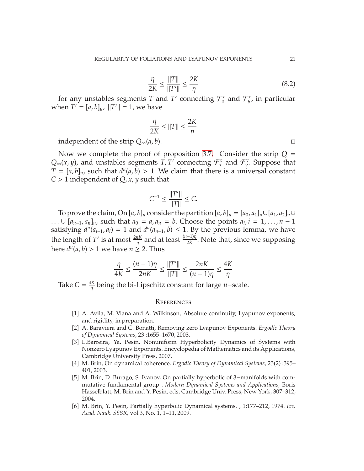$$
\frac{\eta}{2K} \le \frac{\|T\|}{\|T'\|} \le \frac{2K}{\eta}
$$
\n
$$
(8.2)
$$

for any unstables segments *T* and *T'* connecting  $\mathcal{F}_{a}^{c}$  and  $\mathcal{F}_{b}^{c}$  $\int_b^c$ , in particular when  $T' = [a, b]_u$ ,  $||T'|| = 1$ , we have

$$
\frac{\eta}{2K} \le ||T|| \le \frac{2K}{\eta}
$$

independent of the strip  $Q_{\infty}(a, b)$ .

Now we complete the proof of proposition [3.7.](#page-7-0) Consider the strip  $Q =$  $Q_{\infty}(x, y)$ , and unstables segments *T*, *T'* connecting  $\mathcal{F}^c_x$  and  $\mathcal{F}^c_y$ . Suppose that  $T = [a, b]_u$ , such that  $d^u(a, b) > 1$ . We claim that there is a universal constant *C* > 1 independent of *Q*, *x*, *y* such that

$$
C^{-1} \le \frac{\|T'\|}{\|T\|} \le C.
$$

To prove the claim, On  $[a, b]_u$  consider the partition  $[a, b]_u = [a_0, a_1]_u \cup [a_1, a_2]_u \cup$ ... ∪  $[a_{n-1}, a_n]_u$ , such that  $a_0 = a, a_n = b$ . Choose the points  $a_i, i = 1, ..., n-1$ satisfying  $d^u(a_{i-1}, a_i) = 1$  and  $d^u(a_{n-1}, b) \le 1$ . By the previous lemma, we have the length of *T'* is at most  $\frac{2nK}{\eta}$  and at least  $\frac{(n-1)\eta}{2K}$ . Note that, since we supposing here  $d^u(a, b) > 1$  we have  $n \geq 2$ . Thus

$$
\frac{\eta}{4K} \le \frac{(n-1)\eta}{2nK} \le \frac{||T'||}{||T||} \le \frac{2nK}{(n-1)\eta} \le \frac{4K}{\eta}
$$

Take  $C = \frac{4K}{n}$ η being the bi-Lipschitz constant for large *u*−scale.

#### **REFERENCES**

- <span id="page-20-1"></span>[1] A. Avila, M. Viana and A. Wilkinson, Absolute continuity, Lyapunov exponents, and rigidity, in preparation.
- [2] A. Baraviera and C. Bonatti, Removing zero Lyapunov Exponents. *Ergodic Theory of Dynamical Systems*, 23 :1655–1670, 2003.
- [3] L.Barreira, Ya. Pesin. Nonuniform Hyperbolicity Dynamics of Systems with Nonzero Lyapunov Exponents. Encyclopedia of Mathematics and its Applications, Cambridge University Press, 2007.
- <span id="page-20-0"></span>[4] M. Brin, On dynamical coherence. *Ergodic Theory of Dynamical Systems*, 23(2) :395– 401, 2003.
- [5] M. Brin, D. Burago, S. Ivanov, On partially hyperbolic of 3−manifolds with commutative fundamental group . *Modern Dynamical Systems and Applications,* Boris Hasselblatt, M. Brin and Y. Pesin, eds, Cambridge Univ. Press, New York, 307–312, 2004.
- <span id="page-20-2"></span>[6] M. Brin, Y. Pesin, Partially hyperbolic Dynamical systems. , 1:177–212, 1974. *Izv. Acad. Nauk. SSSR,* vol.3, No. 1, 1–11, 2009.